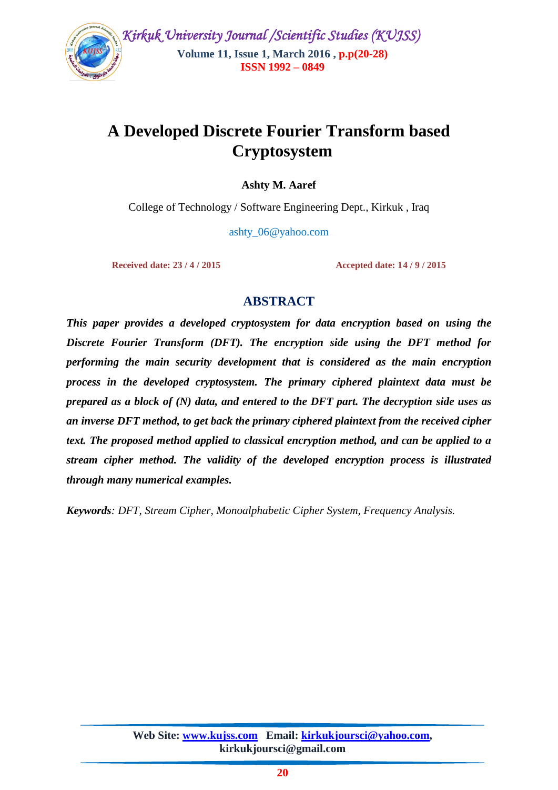

# **A Developed Discrete Fourier Transform based Cryptosystem**

**Ashty M. Aaref**

College of Technology / Software Engineering Dept., Kirkuk , Iraq

ashty\_06@yahoo.com

**Received date: 23 / 4 / 2015 Accepted date: 14 / 9 / 2015**

# **ABSTRACT**

*This paper provides a developed cryptosystem for data encryption based on using the Discrete Fourier Transform (DFT). The encryption side using the DFT method for performing the main security development that is considered as the main encryption process in the developed cryptosystem. The primary ciphered plaintext data must be prepared as a block of (N) data, and entered to the DFT part. The decryption side uses as an inverse DFT method, to get back the primary ciphered plaintext from the received cipher text. The proposed method applied to classical encryption method, and can be applied to a stream cipher method. The validity of the developed encryption process is illustrated through many numerical examples.* 

*Keywords: DFT, Stream Cipher, Monoalphabetic Cipher System, Frequency Analysis.*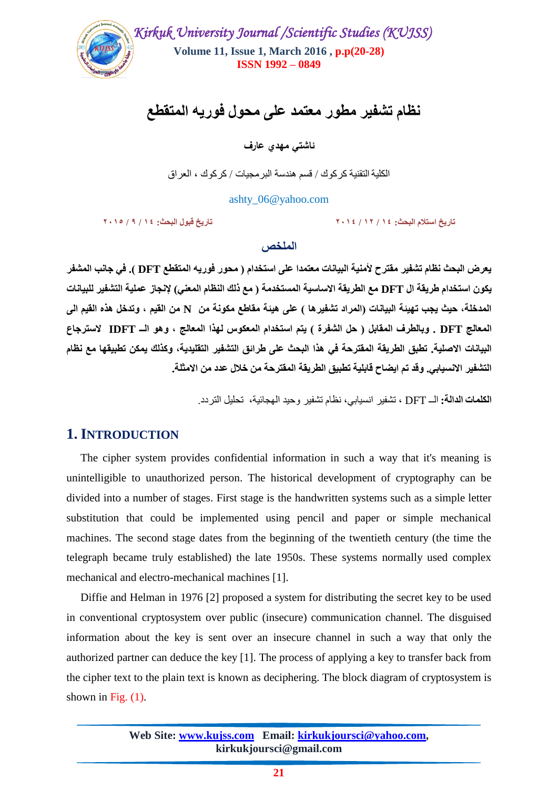

نظام تشفير مطور معتمد عل*ى* محول فوريه المتقطع

**ئاشتي مهدي عارف**

الكليةالتقنية كركىك / قسن هندسة البرهجيات / كركىك ، العراق

ashty\_06@yahoo.com

**تبسيخ استالو انبحث: 41 / 41 / 1141 تبسيخ قبٕل انبحث: 41 / 9 / 1142**

#### ا**لملخص**

يعرض البحث نظام تشفير مقترح لأمنية البيانات معتمدا على استخدام ( محور فوريه المتقطع DFT ). في جانب المشفر يكون استخدام طريقة ال DFT مع الطريقة الاساسية المستخدمة ( مع ذلك النظام المعنى) لإنجاز عملية التشفير للبيانات المدخلة، حيث يجب تهيئة البيانات (المراد تشفيرها ) على هيئة مقاطع مكونـة من N من القيم ، وتدخل هذه القيم ال*ي* المعالج DFT . وبالطرف المقابل ( حل الشفرة ) يتم استخدام المعكوس لهذا المعالج ، وهو الــ IDFT لاسترجاع البيانات الاصلية. تطبق الطريقة المقترحة ف*ي* هذا البحث على طرائق التشفير التقليدية، وكذلك يمكن تطبيقها مع نظام التشفير الانسيابي. وقد تم ايضاح قابلية تطبيق الطريقة المفترحة من خلال عدد من الامثلة<sub>.</sub>

**انكهًبث انذانت:** الــ DFT ، تشفير انسيابي، نظام تشفير وحيد الهجائية، تحليل التردد.

# **1. INTRODUCTION**

 The cipher system provides confidential information in such a way that it's meaning is unintelligible to unauthorized person. The historical development of cryptography can be divided into a number of stages. First stage is the handwritten systems such as a simple letter substitution that could be implemented using pencil and paper or simple mechanical machines. The second stage dates from the beginning of the twentieth century (the time the telegraph became truly established) the late 1950s. These systems normally used complex mechanical and electro-mechanical machines [1].

 Diffie and Helman in 1976 [2] proposed a system for distributing the secret key to be used in conventional cryptosystem over public (insecure) communication channel. The disguised information about the key is sent over an insecure channel in such a way that only the authorized partner can deduce the key [1]. The process of applying a key to transfer back from the cipher text to the plain text is known as deciphering. The block diagram of cryptosystem is shown in Fig.  $(1)$ .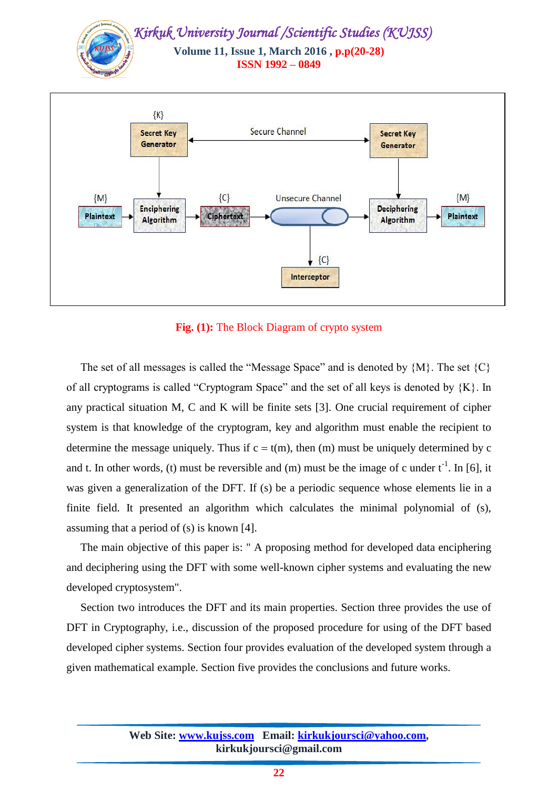

**Fig. (1):** The Block Diagram of crypto system

The set of all messages is called the "Message Space" and is denoted by  $\{M\}$ . The set  $\{C\}$ of all cryptograms is called "Cryptogram Space" and the set of all keys is denoted by  ${K}$ . In any practical situation M, C and K will be finite sets [3]. One crucial requirement of cipher system is that knowledge of the cryptogram, key and algorithm must enable the recipient to determine the message uniquely. Thus if  $c = t(m)$ , then (m) must be uniquely determined by c and t. In other words, (t) must be reversible and (m) must be the image of c under  $t^{-1}$ . In [6], it was given a generalization of the DFT. If (s) be a periodic sequence whose elements lie in a finite field. It presented an algorithm which calculates the minimal polynomial of (s), assuming that a period of (s) is known [4].

 The main objective of this paper is: " A proposing method for developed data enciphering and deciphering using the DFT with some well-known cipher systems and evaluating the new developed cryptosystem".

 Section two introduces the DFT and its main properties. Section three provides the use of DFT in Cryptography, i.e., discussion of the proposed procedure for using of the DFT based developed cipher systems. Section four provides evaluation of the developed system through a given mathematical example. Section five provides the conclusions and future works.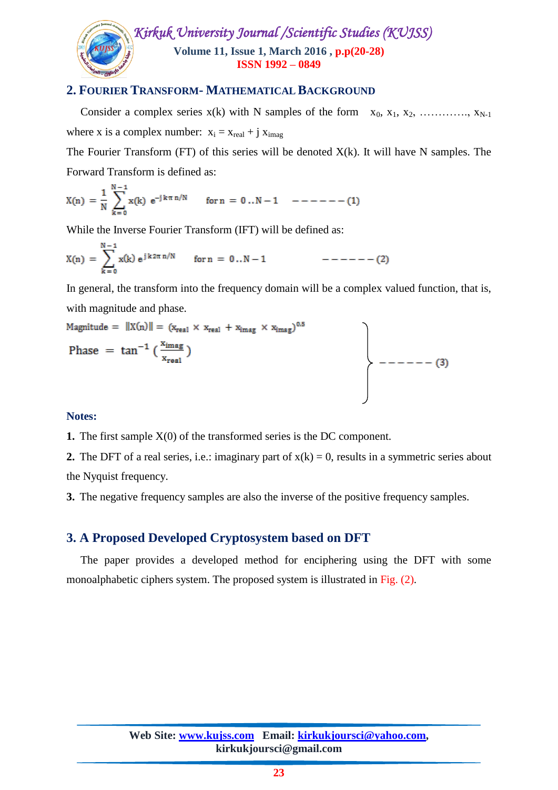

## **2. FOURIER TRANSFORM- MATHEMATICAL BACKGROUND**

Consider a complex series  $x(k)$  with N samples of the form  $x_0, x_1, x_2, \ldots, x_{N-1}$ where x is a complex number:  $x_i = x_{real} + j x_{imag}$ 

The Fourier Transform (FT) of this series will be denoted  $X(k)$ . It will have N samples. The Forward Transform is defined as:

$$
X(n) = \frac{1}{N} \sum_{k=0}^{N-1} x(k) e^{-j k \pi n/N} \qquad \text{for } n = 0..N-1 \quad --- (1)
$$

While the Inverse Fourier Transform (IFT) will be defined as:

$$
X(n) = \sum_{k=0}^{N-1} x(k) e^{j k 2\pi n/N} \quad \text{for } n = 0..N-1 \qquad \qquad --- (2)
$$

In general, the transform into the frequency domain will be a complex valued function, that is, with magnitude and phase.

$$
\begin{aligned}\n\text{Magnitude} &= \|X(n)\| = (x_{\text{real}} \times x_{\text{real}} + x_{\text{imag}} \times x_{\text{imag}})^{0.5} \\
\text{Phase} &= \tan^{-1} \left( \frac{x_{\text{imag}}}{x_{\text{real}}} \right) \\
&\quad \left.\right.\n\end{aligned}
$$

#### **Notes:**

**1.** The first sample X(0) of the transformed series is the DC component.

**2.** The DFT of a real series, i.e.: imaginary part of  $x(k) = 0$ , results in a symmetric series about the Nyquist frequency.

**3.** The negative frequency samples are also the inverse of the positive frequency samples.

## **3. A Proposed Developed Cryptosystem based on DFT**

 The paper provides a developed method for enciphering using the DFT with some monoalphabetic ciphers system. The proposed system is illustrated in Fig. (2).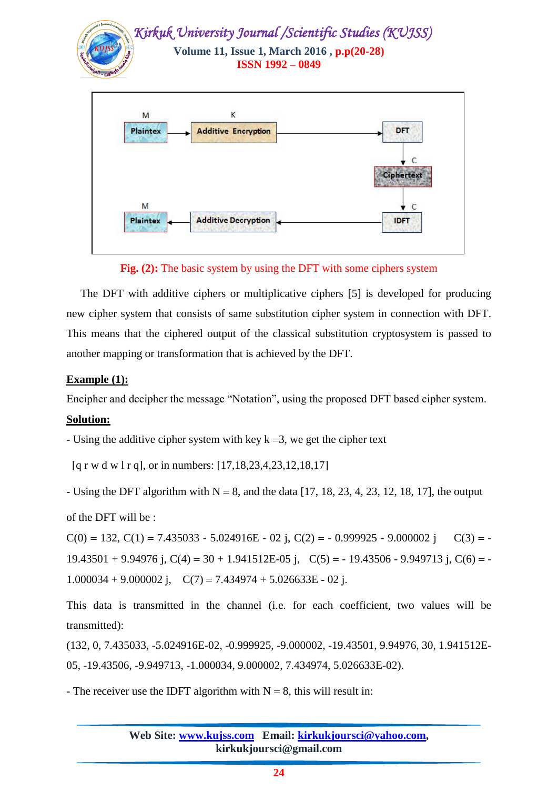

**Fig. (2):** The basic system by using the DFT with some ciphers system

 The DFT with additive ciphers or multiplicative ciphers [5] is developed for producing new cipher system that consists of same substitution cipher system in connection with DFT. This means that the ciphered output of the classical substitution cryptosystem is passed to another mapping or transformation that is achieved by the DFT.

## **Example (1):**

Encipher and decipher the message "Notation", using the proposed DFT based cipher system.

#### **Solution:**

- Using the additive cipher system with key  $k = 3$ , we get the cipher text

[q r w d w l r q], or in numbers: [17,18,23,4,23,12,18,17]

- Using the DFT algorithm with  $N = 8$ , and the data [17, 18, 23, 4, 23, 12, 18, 17], the output

of the DFT will be :

 $C(0) = 132, C(1) = 7.435033 - 5.024916E - 02$  j,  $C(2) = -0.999925 - 9.000002$  j  $C(3) = 19.43501 + 9.94976$  j,  $C(4) = 30 + 1.941512E-05$  j,  $C(5) = -19.43506 - 9.949713$  j,  $C(6) = -19.43506 - 9.949713$ 1.000034 + 9.000002 j,  $C(7) = 7.434974 + 5.026633E - 02$  j.

This data is transmitted in the channel (i.e. for each coefficient, two values will be transmitted):

(132, 0, 7.435033, -5.024916E-02, -0.999925, -9.000002, -19.43501, 9.94976, 30, 1.941512E-05, -19.43506, -9.949713, -1.000034, 9.000002, 7.434974, 5.026633E-02).

- The receiver use the IDFT algorithm with  $N = 8$ , this will result in: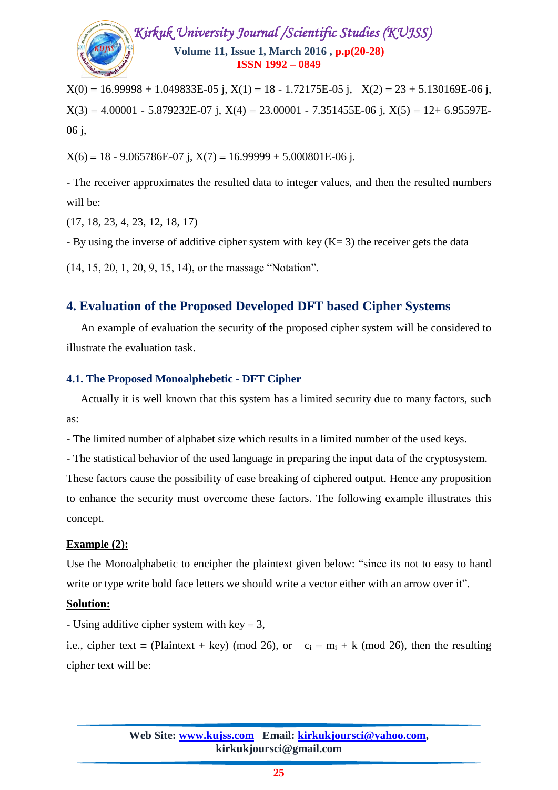

 $X(0) = 16.99998 + 1.049833E-05$  j,  $X(1) = 18 - 1.72175E-05$  j,  $X(2) = 23 + 5.130169E-06$  j,  $X(3) = 4.00001 - 5.879232E - 07$  j,  $X(4) = 23.00001 - 7.351455E - 06$  j,  $X(5) = 12 + 6.95597E$ 06 j,

 $X(6) = 18 - 9.065786E - 07$  j,  $X(7) = 16.99999 + 5.000801E - 06$  j.

- The receiver approximates the resulted data to integer values, and then the resulted numbers will be:

(17, 18, 23, 4, 23, 12, 18, 17)

- By using the inverse of additive cipher system with key  $(K= 3)$  the receiver gets the data

(14, 15, 20, 1, 20, 9, 15, 14), or the massage "Notation".

## **4. Evaluation of the Proposed Developed DFT based Cipher Systems**

 An example of evaluation the security of the proposed cipher system will be considered to illustrate the evaluation task.

#### **4.1. The Proposed Monoalphebetic - DFT Cipher**

 Actually it is well known that this system has a limited security due to many factors, such as:

- The limited number of alphabet size which results in a limited number of the used keys.

- The statistical behavior of the used language in preparing the input data of the cryptosystem.

These factors cause the possibility of ease breaking of ciphered output. Hence any proposition to enhance the security must overcome these factors. The following example illustrates this concept.

## **Example (2):**

Use the Monoalphabetic to encipher the plaintext given below: "since its not to easy to hand write or type write bold face letters we should write a vector either with an arrow over it".

## **Solution:**

- Using additive cipher system with key  $= 3$ ,

i.e., cipher text = (Plaintext + key) (mod 26), or  $c_i = m_i + k$  (mod 26), then the resulting cipher text will be: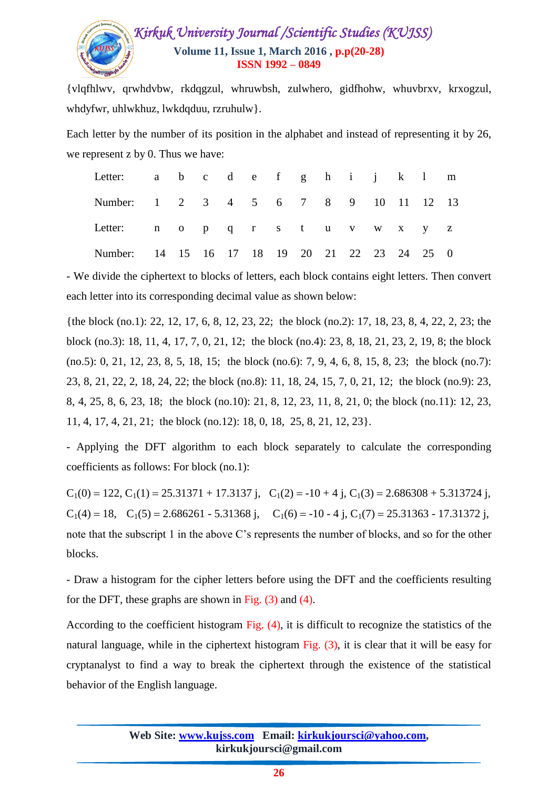# *Kirkuk University Journal /Scientific Studies (KUJSS)*  **Volume 11, Issue 1, March 2016 , p.p(20-28) ISSN 1992 – 0849**

{vlqfhlwv, qrwhdvbw, rkdqgzul, whruwbsh, zulwhero, gidfhohw, whuvbrxv, krxogzul, whdyfwr, uhlwkhuz, lwkdqduu, rzruhulw}.

Each letter by the number of its position in the alphabet and instead of representing it by 26, we represent z by 0. Thus we have:

| Letter: $a \quad b \quad c \quad d \quad e \quad f \quad g \quad h \quad i \quad j \quad k \quad 1 \quad m$ |  |  |  |  |  |  |  |
|-------------------------------------------------------------------------------------------------------------|--|--|--|--|--|--|--|
| Number: 1 2 3 4 5 6 7 8 9 10 11 12 13                                                                       |  |  |  |  |  |  |  |
| Letter: n o p q r s t u v w x y z                                                                           |  |  |  |  |  |  |  |
| Number: 14 15 16 17 18 19 20 21 22 23 24 25 0                                                               |  |  |  |  |  |  |  |

- We divide the ciphertext to blocks of letters, each block contains eight letters. Then convert each letter into its corresponding decimal value as shown below:

{the block (no.1): 22, 12, 17, 6, 8, 12, 23, 22; the block (no.2): 17, 18, 23, 8, 4, 22, 2, 23; the block (no.3): 18, 11, 4, 17, 7, 0, 21, 12; the block (no.4): 23, 8, 18, 21, 23, 2, 19, 8; the block (no.5): 0, 21, 12, 23, 8, 5, 18, 15; the block (no.6): 7, 9, 4, 6, 8, 15, 8, 23; the block (no.7): 23, 8, 21, 22, 2, 18, 24, 22; the block (no.8): 11, 18, 24, 15, 7, 0, 21, 12; the block (no.9): 23, 8, 4, 25, 8, 6, 23, 18; the block (no.10): 21, 8, 12, 23, 11, 8, 21, 0; the block (no.11): 12, 23, 11, 4, 17, 4, 21, 21; the block (no.12): 18, 0, 18, 25, 8, 21, 12, 23}.

- Applying the DFT algorithm to each block separately to calculate the corresponding coefficients as follows: For block (no.1):

 $C_1(0) = 122, C_1(1) = 25.31371 + 17.3137$  j,  $C_1(2) = -10 + 4$  j,  $C_1(3) = 2.686308 + 5.313724$  j,  $C_1(4) = 18$ ,  $C_1(5) = 2.686261 - 5.31368$  j,  $C_1(6) = -10 - 4$  j,  $C_1(7) = 25.31363 - 17.31372$  j, note that the subscript 1 in the above C's represents the number of blocks, and so for the other blocks.

- Draw a histogram for the cipher letters before using the DFT and the coefficients resulting for the DFT, these graphs are shown in Fig.  $(3)$  and  $(4)$ .

According to the coefficient histogram Fig. (4), it is difficult to recognize the statistics of the natural language, while in the ciphertext histogram Fig. (3), it is clear that it will be easy for cryptanalyst to find a way to break the ciphertext through the existence of the statistical behavior of the English language.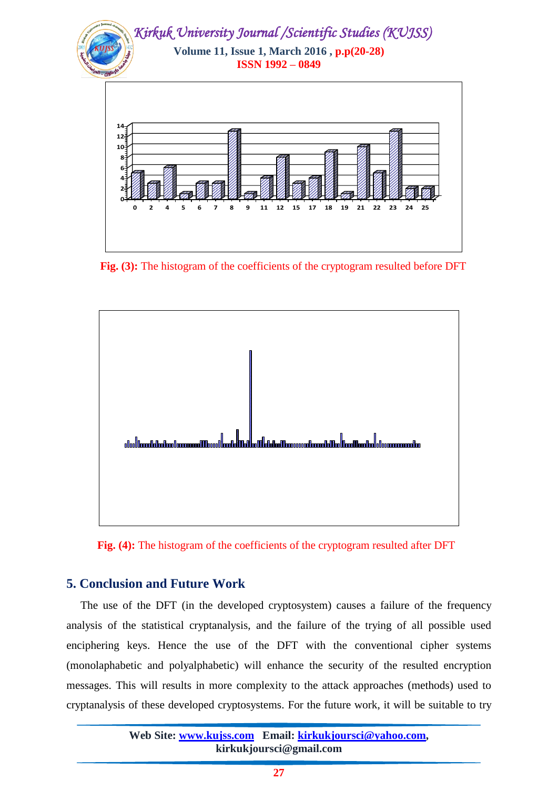

 **Fig. (3):** The histogram of the coefficients of the cryptogram resulted before DFT



 **Fig. (4):** The histogram of the coefficients of the cryptogram resulted after DFT

## **5. Conclusion and Future Work**

 The use of the DFT (in the developed cryptosystem) causes a failure of the frequency analysis of the statistical cryptanalysis, and the failure of the trying of all possible used enciphering keys. Hence the use of the DFT with the conventional cipher systems (monolaphabetic and polyalphabetic) will enhance the security of the resulted encryption messages. This will results in more complexity to the attack approaches (methods) used to cryptanalysis of these developed cryptosystems. For the future work, it will be suitable to try